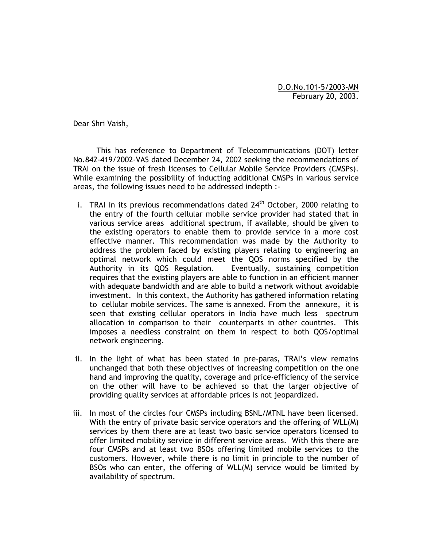D.O.No.101-5/2003-MN February 20, 2003.

Dear Shri Vaish,

 This has reference to Department of Telecommunications (DOT) letter No.842-419/2002-VAS dated December 24, 2002 seeking the recommendations of TRAI on the issue of fresh licenses to Cellular Mobile Service Providers (CMSPs). While examining the possibility of inducting additional CMSPs in various service areas, the following issues need to be addressed indepth :-

- i. TRAI in its previous recommendations dated  $24<sup>th</sup>$  October, 2000 relating to the entry of the fourth cellular mobile service provider had stated that in various service areas additional spectrum, if available, should be given to the existing operators to enable them to provide service in a more cost effective manner. This recommendation was made by the Authority to address the problem faced by existing players relating to engineering an optimal network which could meet the QOS norms specified by the Authority in its QOS Regulation. Eventually, sustaining competition requires that the existing players are able to function in an efficient manner with adequate bandwidth and are able to build a network without avoidable investment. In this context, the Authority has gathered information relating to cellular mobile services. The same is annexed. From the annexure, it is seen that existing cellular operators in India have much less spectrum allocation in comparison to their counterparts in other countries. This imposes a needless constraint on them in respect to both QOS/optimal network engineering.
- ii. In the light of what has been stated in pre-paras, TRAI's view remains unchanged that both these objectives of increasing competition on the one hand and improving the quality, coverage and price-efficiency of the service on the other will have to be achieved so that the larger objective of providing quality services at affordable prices is not jeopardized.
- iii. In most of the circles four CMSPs including BSNL/MTNL have been licensed. With the entry of private basic service operators and the offering of WLL(M) services by them there are at least two basic service operators licensed to offer limited mobility service in different service areas. With this there are four CMSPs and at least two BSOs offering limited mobile services to the customers. However, while there is no limit in principle to the number of BSOs who can enter, the offering of WLL(M) service would be limited by availability of spectrum.